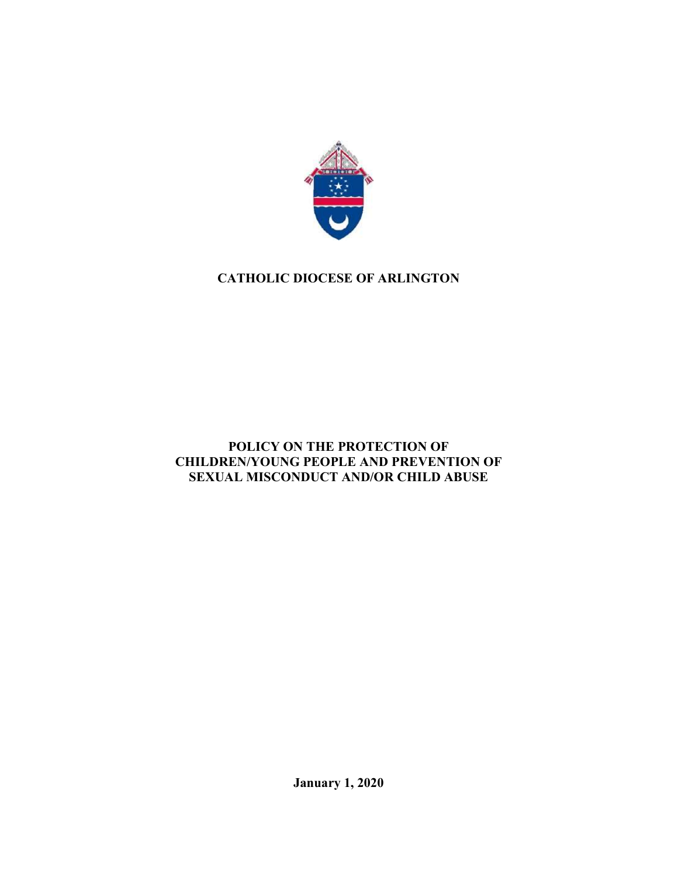

# CATHOLIC DIOCESE OF ARLINGTON

# POLICY ON THE PROTECTION OF CHILDREN/YOUNG PEOPLE AND PREVENTION OF SEXUAL MISCONDUCT AND/OR CHILD ABUSE

January 1, 2020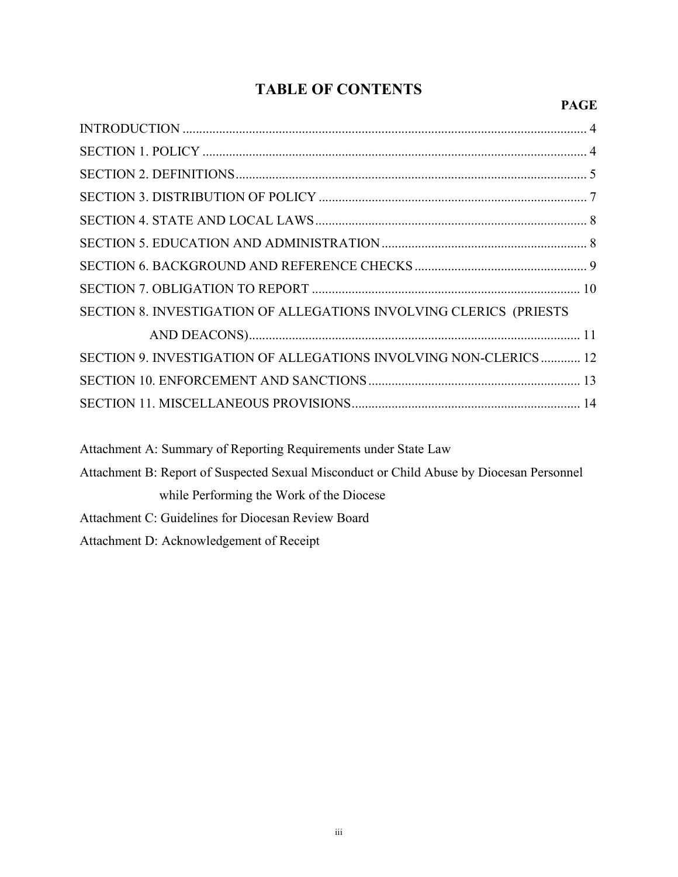# TABLE OF CONTENTS

# PAGE

| SECTION 8. INVESTIGATION OF ALLEGATIONS INVOLVING CLERICS (PRIESTS                       |
|------------------------------------------------------------------------------------------|
|                                                                                          |
| SECTION 9. INVESTIGATION OF ALLEGATIONS INVOLVING NON-CLERICS 12                         |
|                                                                                          |
|                                                                                          |
| Attachment A: Summary of Reporting Requirements under State Law                          |
| Attachment B: Report of Suspected Sexual Misconduct or Child Abuse by Diocesan Personnel |
| while Performing the Work of the Diocese                                                 |

Attachment C: Guidelines for Diocesan Review Board

Attachment D: Acknowledgement of Receipt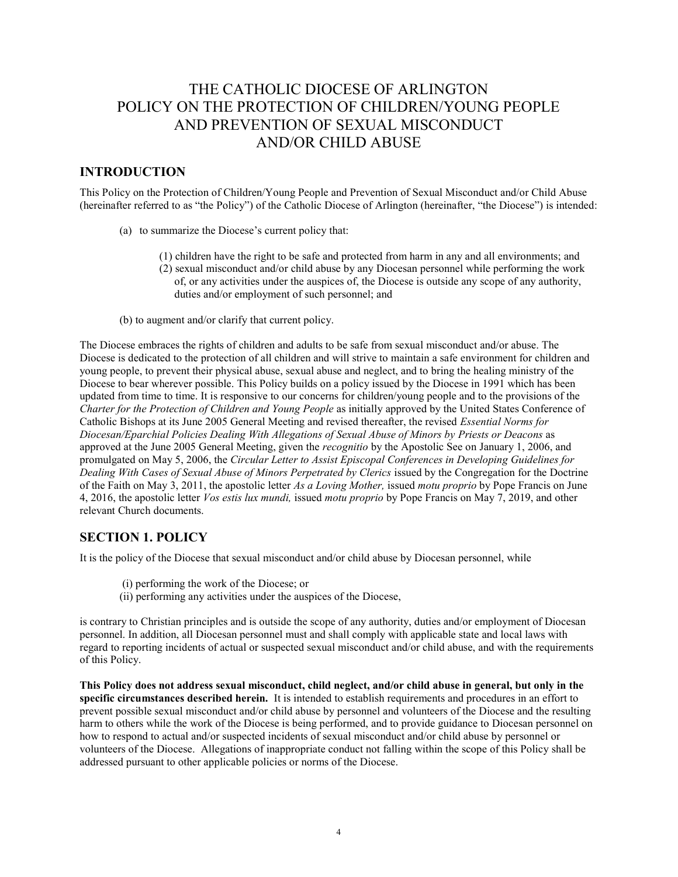# THE CATHOLIC DIOCESE OF ARLINGTON POLICY ON THE PROTECTION OF CHILDREN/YOUNG PEOPLE AND PREVENTION OF SEXUAL MISCONDUCT AND/OR CHILD ABUSE

## INTRODUCTION

This Policy on the Protection of Children/Young People and Prevention of Sexual Misconduct and/or Child Abuse (hereinafter referred to as "the Policy") of the Catholic Diocese of Arlington (hereinafter, "the Diocese") is intended:

- (a) to summarize the Diocese's current policy that:
	- (1) children have the right to be safe and protected from harm in any and all environments; and
	- (2) sexual misconduct and/or child abuse by any Diocesan personnel while performing the work of, or any activities under the auspices of, the Diocese is outside any scope of any authority, duties and/or employment of such personnel; and
- (b) to augment and/or clarify that current policy.

The Diocese embraces the rights of children and adults to be safe from sexual misconduct and/or abuse. The Diocese is dedicated to the protection of all children and will strive to maintain a safe environment for children and young people, to prevent their physical abuse, sexual abuse and neglect, and to bring the healing ministry of the Diocese to bear wherever possible. This Policy builds on a policy issued by the Diocese in 1991 which has been updated from time to time. It is responsive to our concerns for children/young people and to the provisions of the Charter for the Protection of Children and Young People as initially approved by the United States Conference of Catholic Bishops at its June 2005 General Meeting and revised thereafter, the revised Essential Norms for Diocesan/Eparchial Policies Dealing With Allegations of Sexual Abuse of Minors by Priests or Deacons as approved at the June 2005 General Meeting, given the recognitio by the Apostolic See on January 1, 2006, and promulgated on May 5, 2006, the Circular Letter to Assist Episcopal Conferences in Developing Guidelines for Dealing With Cases of Sexual Abuse of Minors Perpetrated by Clerics issued by the Congregation for the Doctrine of the Faith on May 3, 2011, the apostolic letter As a Loving Mother, issued motu proprio by Pope Francis on June 4, 2016, the apostolic letter *Vos estis lux mundi*, issued *motu proprio* by Pope Francis on May 7, 2019, and other relevant Church documents.

## SECTION 1. POLICY

It is the policy of the Diocese that sexual misconduct and/or child abuse by Diocesan personnel, while

- (i) performing the work of the Diocese; or
- (ii) performing any activities under the auspices of the Diocese,

is contrary to Christian principles and is outside the scope of any authority, duties and/or employment of Diocesan personnel. In addition, all Diocesan personnel must and shall comply with applicable state and local laws with regard to reporting incidents of actual or suspected sexual misconduct and/or child abuse, and with the requirements of this Policy.

This Policy does not address sexual misconduct, child neglect, and/or child abuse in general, but only in the specific circumstances described herein. It is intended to establish requirements and procedures in an effort to prevent possible sexual misconduct and/or child abuse by personnel and volunteers of the Diocese and the resulting harm to others while the work of the Diocese is being performed, and to provide guidance to Diocesan personnel on how to respond to actual and/or suspected incidents of sexual misconduct and/or child abuse by personnel or volunteers of the Diocese. Allegations of inappropriate conduct not falling within the scope of this Policy shall be addressed pursuant to other applicable policies or norms of the Diocese.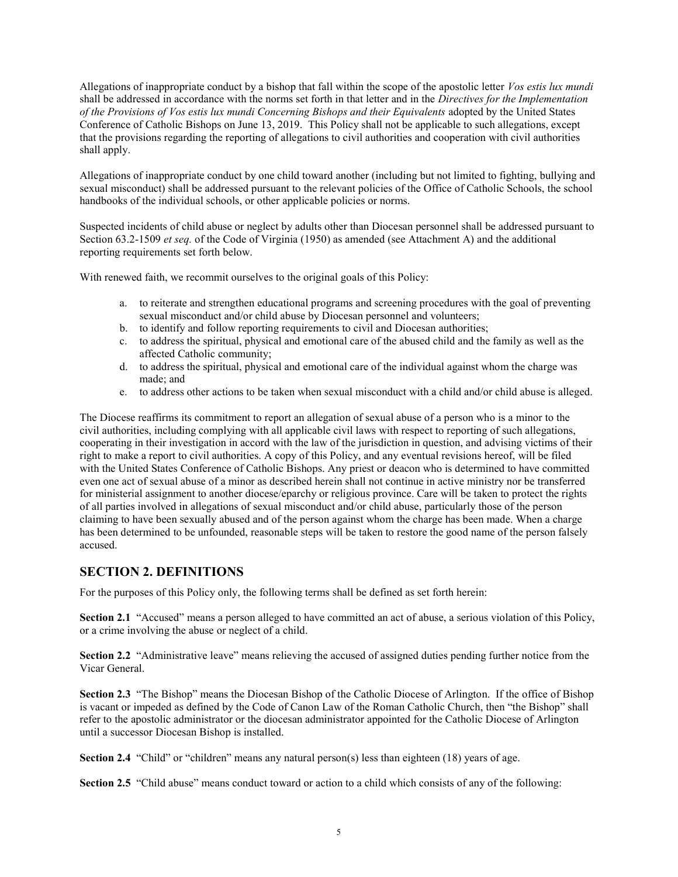Allegations of inappropriate conduct by a bishop that fall within the scope of the apostolic letter Vos estis lux mundi shall be addressed in accordance with the norms set forth in that letter and in the *Directives for the Implementation* of the Provisions of Vos estis lux mundi Concerning Bishops and their Equivalents adopted by the United States Conference of Catholic Bishops on June 13, 2019. This Policy shall not be applicable to such allegations, except that the provisions regarding the reporting of allegations to civil authorities and cooperation with civil authorities shall apply.

Allegations of inappropriate conduct by one child toward another (including but not limited to fighting, bullying and sexual misconduct) shall be addressed pursuant to the relevant policies of the Office of Catholic Schools, the school handbooks of the individual schools, or other applicable policies or norms.

Suspected incidents of child abuse or neglect by adults other than Diocesan personnel shall be addressed pursuant to Section 63.2-1509 et seq. of the Code of Virginia (1950) as amended (see Attachment A) and the additional reporting requirements set forth below.

With renewed faith, we recommit ourselves to the original goals of this Policy:

- a. to reiterate and strengthen educational programs and screening procedures with the goal of preventing sexual misconduct and/or child abuse by Diocesan personnel and volunteers;
- b. to identify and follow reporting requirements to civil and Diocesan authorities;
- c. to address the spiritual, physical and emotional care of the abused child and the family as well as the affected Catholic community;
- d. to address the spiritual, physical and emotional care of the individual against whom the charge was made; and
- e. to address other actions to be taken when sexual misconduct with a child and/or child abuse is alleged.

The Diocese reaffirms its commitment to report an allegation of sexual abuse of a person who is a minor to the civil authorities, including complying with all applicable civil laws with respect to reporting of such allegations, cooperating in their investigation in accord with the law of the jurisdiction in question, and advising victims of their right to make a report to civil authorities. A copy of this Policy, and any eventual revisions hereof, will be filed with the United States Conference of Catholic Bishops. Any priest or deacon who is determined to have committed even one act of sexual abuse of a minor as described herein shall not continue in active ministry nor be transferred for ministerial assignment to another diocese/eparchy or religious province. Care will be taken to protect the rights of all parties involved in allegations of sexual misconduct and/or child abuse, particularly those of the person claiming to have been sexually abused and of the person against whom the charge has been made. When a charge has been determined to be unfounded, reasonable steps will be taken to restore the good name of the person falsely accused.

## SECTION 2. DEFINITIONS

For the purposes of this Policy only, the following terms shall be defined as set forth herein:

Section 2.1 "Accused" means a person alleged to have committed an act of abuse, a serious violation of this Policy, or a crime involving the abuse or neglect of a child.

Section 2.2 "Administrative leave" means relieving the accused of assigned duties pending further notice from the Vicar General.

Section 2.3 "The Bishop" means the Diocesan Bishop of the Catholic Diocese of Arlington. If the office of Bishop is vacant or impeded as defined by the Code of Canon Law of the Roman Catholic Church, then "the Bishop" shall refer to the apostolic administrator or the diocesan administrator appointed for the Catholic Diocese of Arlington until a successor Diocesan Bishop is installed.

Section 2.4 "Child" or "children" means any natural person(s) less than eighteen (18) years of age.

Section 2.5 "Child abuse" means conduct toward or action to a child which consists of any of the following: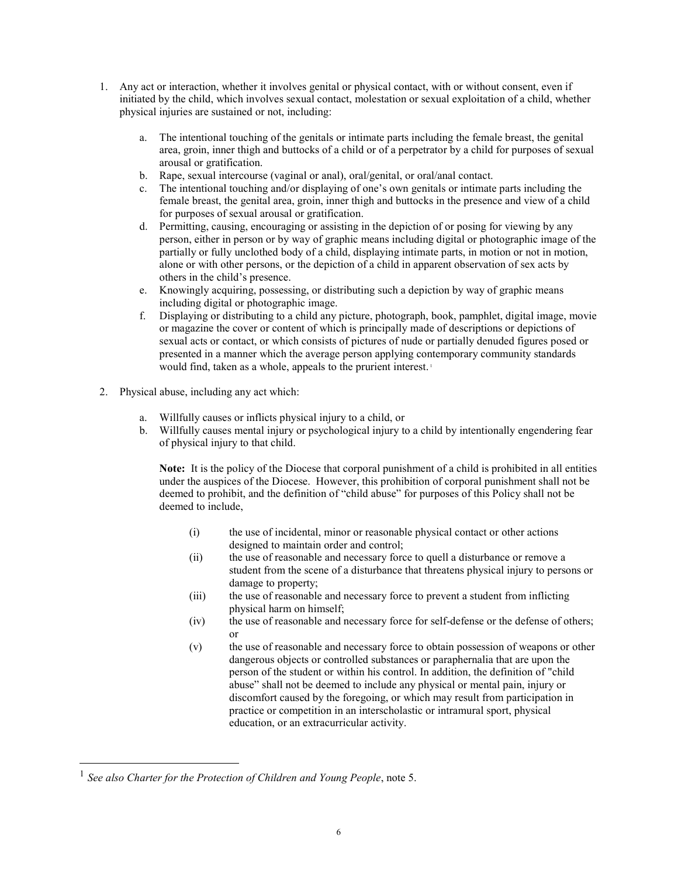- 1. Any act or interaction, whether it involves genital or physical contact, with or without consent, even if initiated by the child, which involves sexual contact, molestation or sexual exploitation of a child, whether physical injuries are sustained or not, including:
	- a. The intentional touching of the genitals or intimate parts including the female breast, the genital area, groin, inner thigh and buttocks of a child or of a perpetrator by a child for purposes of sexual arousal or gratification.
	- b. Rape, sexual intercourse (vaginal or anal), oral/genital, or oral/anal contact.
	- c. The intentional touching and/or displaying of one's own genitals or intimate parts including the female breast, the genital area, groin, inner thigh and buttocks in the presence and view of a child for purposes of sexual arousal or gratification.
	- d. Permitting, causing, encouraging or assisting in the depiction of or posing for viewing by any person, either in person or by way of graphic means including digital or photographic image of the partially or fully unclothed body of a child, displaying intimate parts, in motion or not in motion, alone or with other persons, or the depiction of a child in apparent observation of sex acts by others in the child's presence.
	- e. Knowingly acquiring, possessing, or distributing such a depiction by way of graphic means including digital or photographic image.
	- f. Displaying or distributing to a child any picture, photograph, book, pamphlet, digital image, movie or magazine the cover or content of which is principally made of descriptions or depictions of sexual acts or contact, or which consists of pictures of nude or partially denuded figures posed or presented in a manner which the average person applying contemporary community standards would find, taken as a whole, appeals to the prurient interest.<sup>1</sup>
- 2. Physical abuse, including any act which:
	- Willfully causes or inflicts physical injury to a child, or
	- b. Willfully causes mental injury or psychological injury to a child by intentionally engendering fear of physical injury to that child.

Note: It is the policy of the Diocese that corporal punishment of a child is prohibited in all entities under the auspices of the Diocese. However, this prohibition of corporal punishment shall not be deemed to prohibit, and the definition of "child abuse" for purposes of this Policy shall not be deemed to include,

- (i) the use of incidental, minor or reasonable physical contact or other actions designed to maintain order and control;
- (ii) the use of reasonable and necessary force to quell a disturbance or remove a student from the scene of a disturbance that threatens physical injury to persons or damage to property;
- (iii) the use of reasonable and necessary force to prevent a student from inflicting physical harm on himself;
- (iv) the use of reasonable and necessary force for self-defense or the defense of others; or
- (v) the use of reasonable and necessary force to obtain possession of weapons or other dangerous objects or controlled substances or paraphernalia that are upon the person of the student or within his control. In addition, the definition of "child abuse" shall not be deemed to include any physical or mental pain, injury or discomfort caused by the foregoing, or which may result from participation in practice or competition in an interscholastic or intramural sport, physical education, or an extracurricular activity.

 $\overline{a}$ 

 $<sup>1</sup>$  See also Charter for the Protection of Children and Young People, note 5.</sup>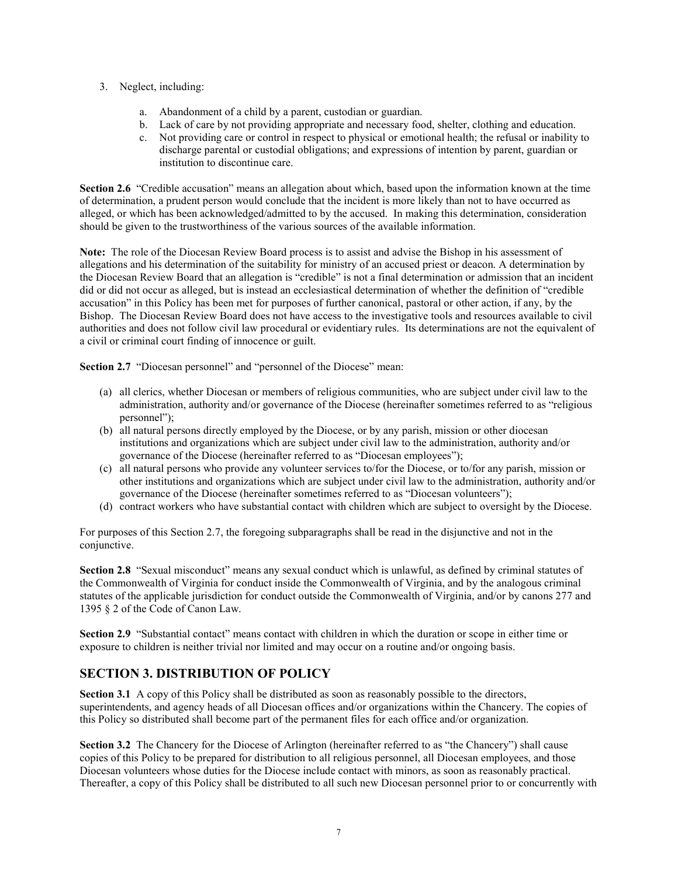- 3. Neglect, including:
	- a. Abandonment of a child by a parent, custodian or guardian.
	- b. Lack of care by not providing appropriate and necessary food, shelter, clothing and education.
	- c. Not providing care or control in respect to physical or emotional health; the refusal or inability to discharge parental or custodial obligations; and expressions of intention by parent, guardian or institution to discontinue care.

Section 2.6 "Credible accusation" means an allegation about which, based upon the information known at the time of determination, a prudent person would conclude that the incident is more likely than not to have occurred as alleged, or which has been acknowledged/admitted to by the accused. In making this determination, consideration should be given to the trustworthiness of the various sources of the available information.

Note: The role of the Diocesan Review Board process is to assist and advise the Bishop in his assessment of allegations and his determination of the suitability for ministry of an accused priest or deacon. A determination by the Diocesan Review Board that an allegation is "credible" is not a final determination or admission that an incident did or did not occur as alleged, but is instead an ecclesiastical determination of whether the definition of "credible accusation" in this Policy has been met for purposes of further canonical, pastoral or other action, if any, by the Bishop. The Diocesan Review Board does not have access to the investigative tools and resources available to civil authorities and does not follow civil law procedural or evidentiary rules. Its determinations are not the equivalent of a civil or criminal court finding of innocence or guilt.

Section 2.7 "Diocesan personnel" and "personnel of the Diocese" mean:

- (a) all clerics, whether Diocesan or members of religious communities, who are subject under civil law to the administration, authority and/or governance of the Diocese (hereinafter sometimes referred to as "religious personnel");
- (b) all natural persons directly employed by the Diocese, or by any parish, mission or other diocesan institutions and organizations which are subject under civil law to the administration, authority and/or governance of the Diocese (hereinafter referred to as "Diocesan employees");
- (c) all natural persons who provide any volunteer services to/for the Diocese, or to/for any parish, mission or other institutions and organizations which are subject under civil law to the administration, authority and/or governance of the Diocese (hereinafter sometimes referred to as "Diocesan volunteers");
- (d) contract workers who have substantial contact with children which are subject to oversight by the Diocese.

For purposes of this Section 2.7, the foregoing subparagraphs shall be read in the disjunctive and not in the conjunctive.

Section 2.8 "Sexual misconduct" means any sexual conduct which is unlawful, as defined by criminal statutes of the Commonwealth of Virginia for conduct inside the Commonwealth of Virginia, and by the analogous criminal statutes of the applicable jurisdiction for conduct outside the Commonwealth of Virginia, and/or by canons 277 and 1395 § 2 of the Code of Canon Law.

Section 2.9 "Substantial contact" means contact with children in which the duration or scope in either time or exposure to children is neither trivial nor limited and may occur on a routine and/or ongoing basis.

# SECTION 3. DISTRIBUTION OF POLICY

Section 3.1 A copy of this Policy shall be distributed as soon as reasonably possible to the directors, superintendents, and agency heads of all Diocesan offices and/or organizations within the Chancery. The copies of this Policy so distributed shall become part of the permanent files for each office and/or organization.

Section 3.2 The Chancery for the Diocese of Arlington (hereinafter referred to as "the Chancery") shall cause copies of this Policy to be prepared for distribution to all religious personnel, all Diocesan employees, and those Diocesan volunteers whose duties for the Diocese include contact with minors, as soon as reasonably practical. Thereafter, a copy of this Policy shall be distributed to all such new Diocesan personnel prior to or concurrently with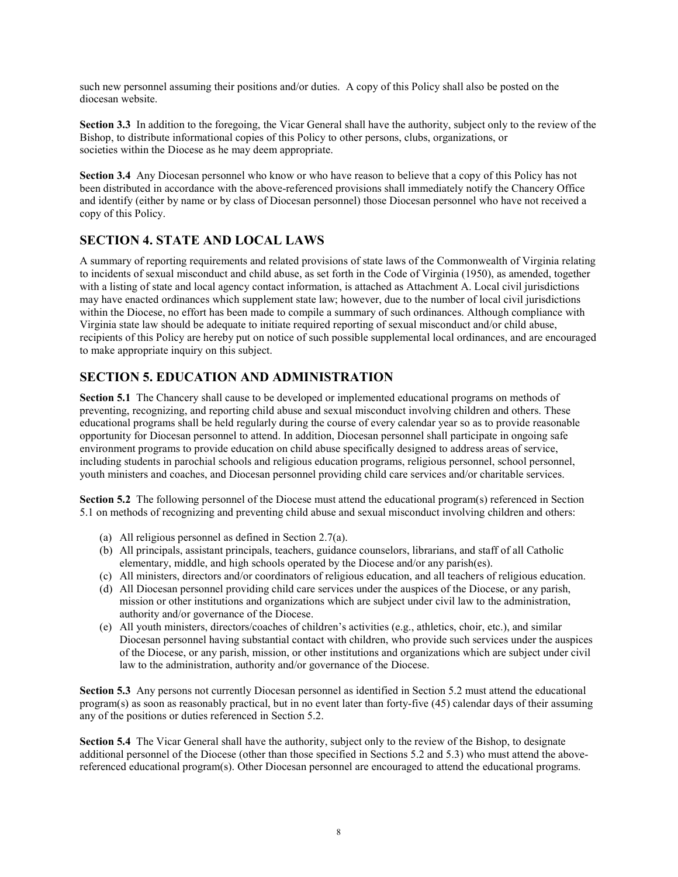such new personnel assuming their positions and/or duties. A copy of this Policy shall also be posted on the diocesan website.

Section 3.3 In addition to the foregoing, the Vicar General shall have the authority, subject only to the review of the Bishop, to distribute informational copies of this Policy to other persons, clubs, organizations, or societies within the Diocese as he may deem appropriate.

Section 3.4 Any Diocesan personnel who know or who have reason to believe that a copy of this Policy has not been distributed in accordance with the above-referenced provisions shall immediately notify the Chancery Office and identify (either by name or by class of Diocesan personnel) those Diocesan personnel who have not received a copy of this Policy.

## SECTION 4. STATE AND LOCAL LAWS

A summary of reporting requirements and related provisions of state laws of the Commonwealth of Virginia relating to incidents of sexual misconduct and child abuse, as set forth in the Code of Virginia (1950), as amended, together with a listing of state and local agency contact information, is attached as Attachment A. Local civil jurisdictions may have enacted ordinances which supplement state law; however, due to the number of local civil jurisdictions within the Diocese, no effort has been made to compile a summary of such ordinances. Although compliance with Virginia state law should be adequate to initiate required reporting of sexual misconduct and/or child abuse, recipients of this Policy are hereby put on notice of such possible supplemental local ordinances, and are encouraged to make appropriate inquiry on this subject.

# SECTION 5. EDUCATION AND ADMINISTRATION

Section 5.1 The Chancery shall cause to be developed or implemented educational programs on methods of preventing, recognizing, and reporting child abuse and sexual misconduct involving children and others. These educational programs shall be held regularly during the course of every calendar year so as to provide reasonable opportunity for Diocesan personnel to attend. In addition, Diocesan personnel shall participate in ongoing safe environment programs to provide education on child abuse specifically designed to address areas of service, including students in parochial schools and religious education programs, religious personnel, school personnel, youth ministers and coaches, and Diocesan personnel providing child care services and/or charitable services.

Section 5.2 The following personnel of the Diocese must attend the educational program(s) referenced in Section 5.1 on methods of recognizing and preventing child abuse and sexual misconduct involving children and others:

- (a) All religious personnel as defined in Section 2.7(a).
- (b) All principals, assistant principals, teachers, guidance counselors, librarians, and staff of all Catholic elementary, middle, and high schools operated by the Diocese and/or any parish(es).
- (c) All ministers, directors and/or coordinators of religious education, and all teachers of religious education.
- (d) All Diocesan personnel providing child care services under the auspices of the Diocese, or any parish, mission or other institutions and organizations which are subject under civil law to the administration, authority and/or governance of the Diocese.
- (e) All youth ministers, directors/coaches of children's activities (e.g., athletics, choir, etc.), and similar Diocesan personnel having substantial contact with children, who provide such services under the auspices of the Diocese, or any parish, mission, or other institutions and organizations which are subject under civil law to the administration, authority and/or governance of the Diocese.

Section 5.3 Any persons not currently Diocesan personnel as identified in Section 5.2 must attend the educational program(s) as soon as reasonably practical, but in no event later than forty-five (45) calendar days of their assuming any of the positions or duties referenced in Section 5.2.

Section 5.4 The Vicar General shall have the authority, subject only to the review of the Bishop, to designate additional personnel of the Diocese (other than those specified in Sections 5.2 and 5.3) who must attend the abovereferenced educational program(s). Other Diocesan personnel are encouraged to attend the educational programs.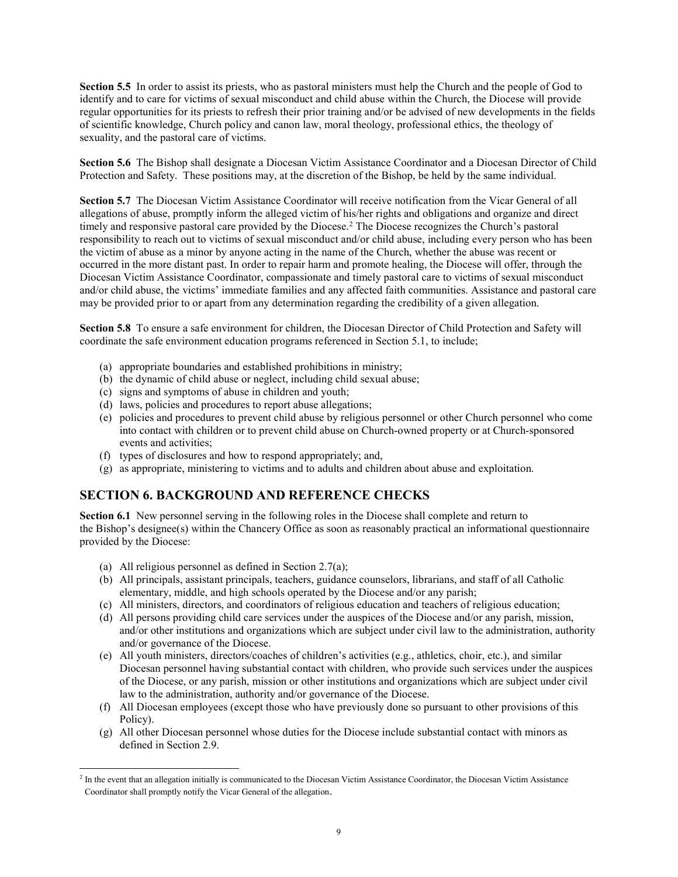Section 5.5 In order to assist its priests, who as pastoral ministers must help the Church and the people of God to identify and to care for victims of sexual misconduct and child abuse within the Church, the Diocese will provide regular opportunities for its priests to refresh their prior training and/or be advised of new developments in the fields of scientific knowledge, Church policy and canon law, moral theology, professional ethics, the theology of sexuality, and the pastoral care of victims.

Section 5.6 The Bishop shall designate a Diocesan Victim Assistance Coordinator and a Diocesan Director of Child Protection and Safety. These positions may, at the discretion of the Bishop, be held by the same individual.

Section 5.7 The Diocesan Victim Assistance Coordinator will receive notification from the Vicar General of all allegations of abuse, promptly inform the alleged victim of his/her rights and obligations and organize and direct timely and responsive pastoral care provided by the Diocese.<sup>2</sup> The Diocese recognizes the Church's pastoral responsibility to reach out to victims of sexual misconduct and/or child abuse, including every person who has been the victim of abuse as a minor by anyone acting in the name of the Church, whether the abuse was recent or occurred in the more distant past. In order to repair harm and promote healing, the Diocese will offer, through the Diocesan Victim Assistance Coordinator, compassionate and timely pastoral care to victims of sexual misconduct and/or child abuse, the victims' immediate families and any affected faith communities. Assistance and pastoral care may be provided prior to or apart from any determination regarding the credibility of a given allegation.

Section 5.8 To ensure a safe environment for children, the Diocesan Director of Child Protection and Safety will coordinate the safe environment education programs referenced in Section 5.1, to include;

- (a) appropriate boundaries and established prohibitions in ministry;
- (b) the dynamic of child abuse or neglect, including child sexual abuse;
- (c) signs and symptoms of abuse in children and youth;
- (d) laws, policies and procedures to report abuse allegations;
- (e) policies and procedures to prevent child abuse by religious personnel or other Church personnel who come into contact with children or to prevent child abuse on Church-owned property or at Church-sponsored events and activities;
- (f) types of disclosures and how to respond appropriately; and,
- (g) as appropriate, ministering to victims and to adults and children about abuse and exploitation.

## SECTION 6. BACKGROUND AND REFERENCE CHECKS

Section 6.1 New personnel serving in the following roles in the Diocese shall complete and return to the Bishop's designee(s) within the Chancery Office as soon as reasonably practical an informational questionnaire provided by the Diocese:

(a) All religious personnel as defined in Section 2.7(a);

 $\overline{a}$ 

- (b) All principals, assistant principals, teachers, guidance counselors, librarians, and staff of all Catholic elementary, middle, and high schools operated by the Diocese and/or any parish;
- (c) All ministers, directors, and coordinators of religious education and teachers of religious education;
- (d) All persons providing child care services under the auspices of the Diocese and/or any parish, mission, and/or other institutions and organizations which are subject under civil law to the administration, authority and/or governance of the Diocese.
- (e) All youth ministers, directors/coaches of children's activities (e.g., athletics, choir, etc.), and similar Diocesan personnel having substantial contact with children, who provide such services under the auspices of the Diocese, or any parish, mission or other institutions and organizations which are subject under civil law to the administration, authority and/or governance of the Diocese.
- (f) All Diocesan employees (except those who have previously done so pursuant to other provisions of this Policy).
- (g) All other Diocesan personnel whose duties for the Diocese include substantial contact with minors as defined in Section 2.9.

<sup>&</sup>lt;sup>2</sup> In the event that an allegation initially is communicated to the Diocesan Victim Assistance Coordinator, the Diocesan Victim Assistance Coordinator shall promptly notify the Vicar General of the allegation.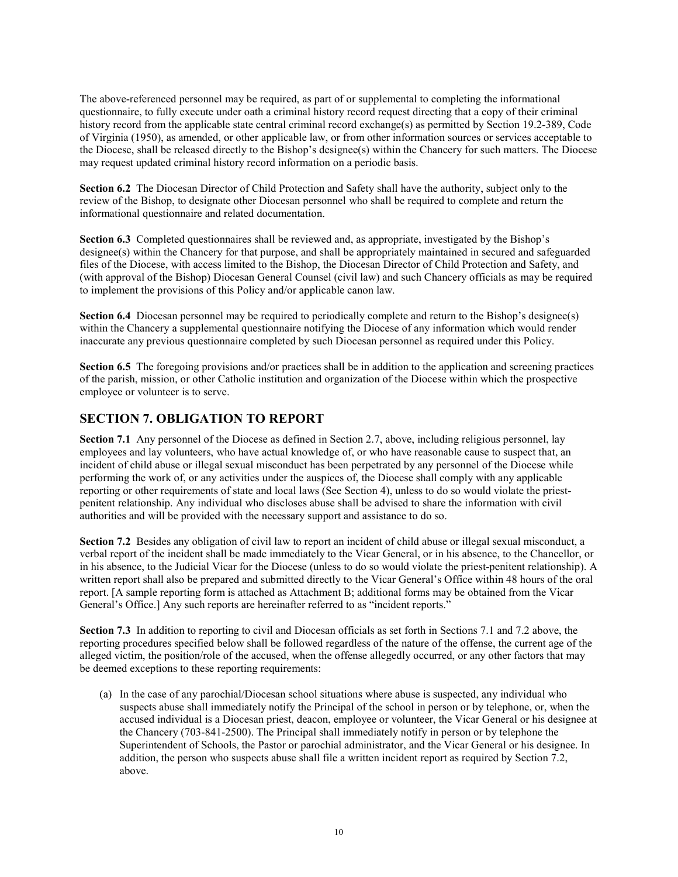The above-referenced personnel may be required, as part of or supplemental to completing the informational questionnaire, to fully execute under oath a criminal history record request directing that a copy of their criminal history record from the applicable state central criminal record exchange(s) as permitted by Section 19.2-389, Code of Virginia (1950), as amended, or other applicable law, or from other information sources or services acceptable to the Diocese, shall be released directly to the Bishop's designee(s) within the Chancery for such matters. The Diocese may request updated criminal history record information on a periodic basis.

Section 6.2 The Diocesan Director of Child Protection and Safety shall have the authority, subject only to the review of the Bishop, to designate other Diocesan personnel who shall be required to complete and return the informational questionnaire and related documentation.

Section 6.3 Completed questionnaires shall be reviewed and, as appropriate, investigated by the Bishop's designee(s) within the Chancery for that purpose, and shall be appropriately maintained in secured and safeguarded files of the Diocese, with access limited to the Bishop, the Diocesan Director of Child Protection and Safety, and (with approval of the Bishop) Diocesan General Counsel (civil law) and such Chancery officials as may be required to implement the provisions of this Policy and/or applicable canon law.

Section 6.4 Diocesan personnel may be required to periodically complete and return to the Bishop's designee(s) within the Chancery a supplemental questionnaire notifying the Diocese of any information which would render inaccurate any previous questionnaire completed by such Diocesan personnel as required under this Policy.

Section 6.5 The foregoing provisions and/or practices shall be in addition to the application and screening practices of the parish, mission, or other Catholic institution and organization of the Diocese within which the prospective employee or volunteer is to serve.

## SECTION 7. OBLIGATION TO REPORT

Section 7.1 Any personnel of the Diocese as defined in Section 2.7, above, including religious personnel, lay employees and lay volunteers, who have actual knowledge of, or who have reasonable cause to suspect that, an incident of child abuse or illegal sexual misconduct has been perpetrated by any personnel of the Diocese while performing the work of, or any activities under the auspices of, the Diocese shall comply with any applicable reporting or other requirements of state and local laws (See Section 4), unless to do so would violate the priestpenitent relationship. Any individual who discloses abuse shall be advised to share the information with civil authorities and will be provided with the necessary support and assistance to do so.

Section 7.2 Besides any obligation of civil law to report an incident of child abuse or illegal sexual misconduct, a verbal report of the incident shall be made immediately to the Vicar General, or in his absence, to the Chancellor, or in his absence, to the Judicial Vicar for the Diocese (unless to do so would violate the priest-penitent relationship). A written report shall also be prepared and submitted directly to the Vicar General's Office within 48 hours of the oral report. [A sample reporting form is attached as Attachment B; additional forms may be obtained from the Vicar General's Office.] Any such reports are hereinafter referred to as "incident reports."

Section 7.3 In addition to reporting to civil and Diocesan officials as set forth in Sections 7.1 and 7.2 above, the reporting procedures specified below shall be followed regardless of the nature of the offense, the current age of the alleged victim, the position/role of the accused, when the offense allegedly occurred, or any other factors that may be deemed exceptions to these reporting requirements:

(a) In the case of any parochial/Diocesan school situations where abuse is suspected, any individual who suspects abuse shall immediately notify the Principal of the school in person or by telephone, or, when the accused individual is a Diocesan priest, deacon, employee or volunteer, the Vicar General or his designee at the Chancery (703-841-2500). The Principal shall immediately notify in person or by telephone the Superintendent of Schools, the Pastor or parochial administrator, and the Vicar General or his designee. In addition, the person who suspects abuse shall file a written incident report as required by Section 7.2, above.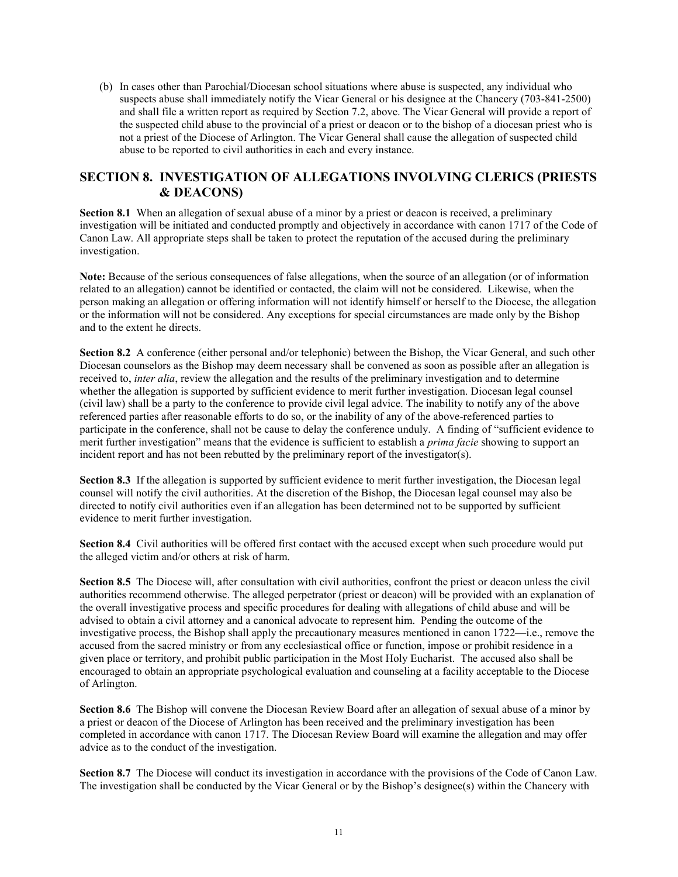(b) In cases other than Parochial/Diocesan school situations where abuse is suspected, any individual who suspects abuse shall immediately notify the Vicar General or his designee at the Chancery (703-841-2500) and shall file a written report as required by Section 7.2, above. The Vicar General will provide a report of the suspected child abuse to the provincial of a priest or deacon or to the bishop of a diocesan priest who is not a priest of the Diocese of Arlington. The Vicar General shall cause the allegation of suspected child abuse to be reported to civil authorities in each and every instance.

## SECTION 8. INVESTIGATION OF ALLEGATIONS INVOLVING CLERICS (PRIESTS & DEACONS)

Section 8.1 When an allegation of sexual abuse of a minor by a priest or deacon is received, a preliminary investigation will be initiated and conducted promptly and objectively in accordance with canon 1717 of the Code of Canon Law. All appropriate steps shall be taken to protect the reputation of the accused during the preliminary investigation.

Note: Because of the serious consequences of false allegations, when the source of an allegation (or of information related to an allegation) cannot be identified or contacted, the claim will not be considered. Likewise, when the person making an allegation or offering information will not identify himself or herself to the Diocese, the allegation or the information will not be considered. Any exceptions for special circumstances are made only by the Bishop and to the extent he directs.

Section 8.2 A conference (either personal and/or telephonic) between the Bishop, the Vicar General, and such other Diocesan counselors as the Bishop may deem necessary shall be convened as soon as possible after an allegation is received to, inter alia, review the allegation and the results of the preliminary investigation and to determine whether the allegation is supported by sufficient evidence to merit further investigation. Diocesan legal counsel (civil law) shall be a party to the conference to provide civil legal advice. The inability to notify any of the above referenced parties after reasonable efforts to do so, or the inability of any of the above-referenced parties to participate in the conference, shall not be cause to delay the conference unduly. A finding of "sufficient evidence to merit further investigation" means that the evidence is sufficient to establish a *prima facie* showing to support an incident report and has not been rebutted by the preliminary report of the investigator(s).

Section 8.3 If the allegation is supported by sufficient evidence to merit further investigation, the Diocesan legal counsel will notify the civil authorities. At the discretion of the Bishop, the Diocesan legal counsel may also be directed to notify civil authorities even if an allegation has been determined not to be supported by sufficient evidence to merit further investigation.

Section 8.4 Civil authorities will be offered first contact with the accused except when such procedure would put the alleged victim and/or others at risk of harm.

Section 8.5 The Diocese will, after consultation with civil authorities, confront the priest or deacon unless the civil authorities recommend otherwise. The alleged perpetrator (priest or deacon) will be provided with an explanation of the overall investigative process and specific procedures for dealing with allegations of child abuse and will be advised to obtain a civil attorney and a canonical advocate to represent him. Pending the outcome of the investigative process, the Bishop shall apply the precautionary measures mentioned in canon 1722—i.e., remove the accused from the sacred ministry or from any ecclesiastical office or function, impose or prohibit residence in a given place or territory, and prohibit public participation in the Most Holy Eucharist. The accused also shall be encouraged to obtain an appropriate psychological evaluation and counseling at a facility acceptable to the Diocese of Arlington.

Section 8.6 The Bishop will convene the Diocesan Review Board after an allegation of sexual abuse of a minor by a priest or deacon of the Diocese of Arlington has been received and the preliminary investigation has been completed in accordance with canon 1717. The Diocesan Review Board will examine the allegation and may offer advice as to the conduct of the investigation.

Section 8.7 The Diocese will conduct its investigation in accordance with the provisions of the Code of Canon Law. The investigation shall be conducted by the Vicar General or by the Bishop's designee(s) within the Chancery with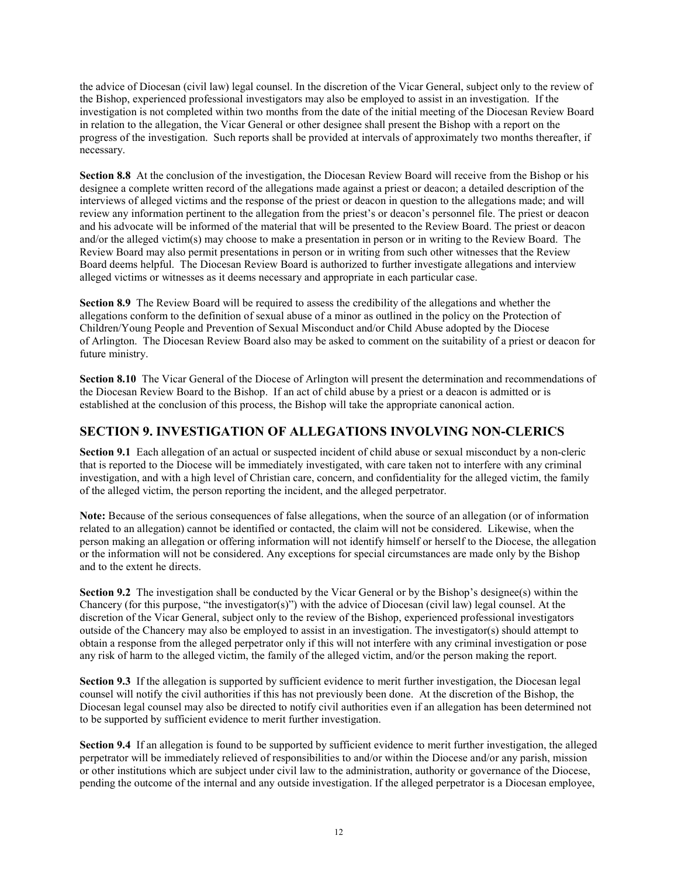the advice of Diocesan (civil law) legal counsel. In the discretion of the Vicar General, subject only to the review of the Bishop, experienced professional investigators may also be employed to assist in an investigation. If the investigation is not completed within two months from the date of the initial meeting of the Diocesan Review Board in relation to the allegation, the Vicar General or other designee shall present the Bishop with a report on the progress of the investigation. Such reports shall be provided at intervals of approximately two months thereafter, if necessary.

Section 8.8 At the conclusion of the investigation, the Diocesan Review Board will receive from the Bishop or his designee a complete written record of the allegations made against a priest or deacon; a detailed description of the interviews of alleged victims and the response of the priest or deacon in question to the allegations made; and will review any information pertinent to the allegation from the priest's or deacon's personnel file. The priest or deacon and his advocate will be informed of the material that will be presented to the Review Board. The priest or deacon and/or the alleged victim(s) may choose to make a presentation in person or in writing to the Review Board. The Review Board may also permit presentations in person or in writing from such other witnesses that the Review Board deems helpful. The Diocesan Review Board is authorized to further investigate allegations and interview alleged victims or witnesses as it deems necessary and appropriate in each particular case.

Section 8.9 The Review Board will be required to assess the credibility of the allegations and whether the allegations conform to the definition of sexual abuse of a minor as outlined in the policy on the Protection of Children/Young People and Prevention of Sexual Misconduct and/or Child Abuse adopted by the Diocese of Arlington. The Diocesan Review Board also may be asked to comment on the suitability of a priest or deacon for future ministry.

Section 8.10 The Vicar General of the Diocese of Arlington will present the determination and recommendations of the Diocesan Review Board to the Bishop. If an act of child abuse by a priest or a deacon is admitted or is established at the conclusion of this process, the Bishop will take the appropriate canonical action.

## SECTION 9. INVESTIGATION OF ALLEGATIONS INVOLVING NON-CLERICS

Section 9.1 Each allegation of an actual or suspected incident of child abuse or sexual misconduct by a non-cleric that is reported to the Diocese will be immediately investigated, with care taken not to interfere with any criminal investigation, and with a high level of Christian care, concern, and confidentiality for the alleged victim, the family of the alleged victim, the person reporting the incident, and the alleged perpetrator.

Note: Because of the serious consequences of false allegations, when the source of an allegation (or of information related to an allegation) cannot be identified or contacted, the claim will not be considered. Likewise, when the person making an allegation or offering information will not identify himself or herself to the Diocese, the allegation or the information will not be considered. Any exceptions for special circumstances are made only by the Bishop and to the extent he directs.

Section 9.2 The investigation shall be conducted by the Vicar General or by the Bishop's designee(s) within the Chancery (for this purpose, "the investigator(s)") with the advice of Diocesan (civil law) legal counsel. At the discretion of the Vicar General, subject only to the review of the Bishop, experienced professional investigators outside of the Chancery may also be employed to assist in an investigation. The investigator(s) should attempt to obtain a response from the alleged perpetrator only if this will not interfere with any criminal investigation or pose any risk of harm to the alleged victim, the family of the alleged victim, and/or the person making the report.

Section 9.3 If the allegation is supported by sufficient evidence to merit further investigation, the Diocesan legal counsel will notify the civil authorities if this has not previously been done. At the discretion of the Bishop, the Diocesan legal counsel may also be directed to notify civil authorities even if an allegation has been determined not to be supported by sufficient evidence to merit further investigation.

Section 9.4 If an allegation is found to be supported by sufficient evidence to merit further investigation, the alleged perpetrator will be immediately relieved of responsibilities to and/or within the Diocese and/or any parish, mission or other institutions which are subject under civil law to the administration, authority or governance of the Diocese, pending the outcome of the internal and any outside investigation. If the alleged perpetrator is a Diocesan employee,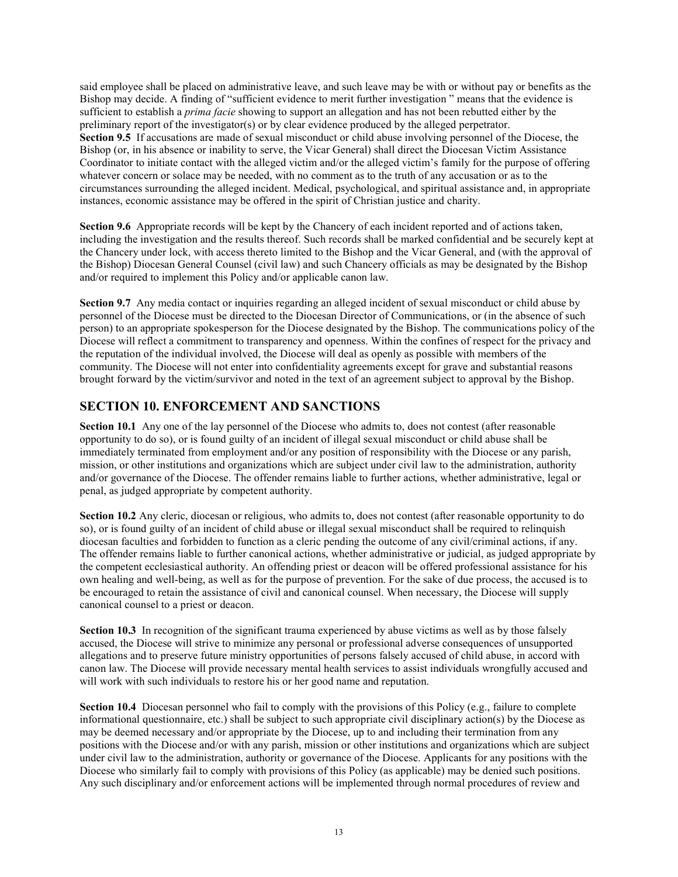said employee shall be placed on administrative leave, and such leave may be with or without pay or benefits as the Bishop may decide. A finding of "sufficient evidence to merit further investigation " means that the evidence is sufficient to establish a *prima facie* showing to support an allegation and has not been rebutted either by the preliminary report of the investigator(s) or by clear evidence produced by the alleged perpetrator. Section 9.5 If accusations are made of sexual misconduct or child abuse involving personnel of the Diocese, the Bishop (or, in his absence or inability to serve, the Vicar General) shall direct the Diocesan Victim Assistance Coordinator to initiate contact with the alleged victim and/or the alleged victim's family for the purpose of offering whatever concern or solace may be needed, with no comment as to the truth of any accusation or as to the circumstances surrounding the alleged incident. Medical, psychological, and spiritual assistance and, in appropriate instances, economic assistance may be offered in the spirit of Christian justice and charity.

Section 9.6 Appropriate records will be kept by the Chancery of each incident reported and of actions taken, including the investigation and the results thereof. Such records shall be marked confidential and be securely kept at the Chancery under lock, with access thereto limited to the Bishop and the Vicar General, and (with the approval of the Bishop) Diocesan General Counsel (civil law) and such Chancery officials as may be designated by the Bishop and/or required to implement this Policy and/or applicable canon law.

Section 9.7 Any media contact or inquiries regarding an alleged incident of sexual misconduct or child abuse by personnel of the Diocese must be directed to the Diocesan Director of Communications, or (in the absence of such person) to an appropriate spokesperson for the Diocese designated by the Bishop. The communications policy of the Diocese will reflect a commitment to transparency and openness. Within the confines of respect for the privacy and the reputation of the individual involved, the Diocese will deal as openly as possible with members of the community. The Diocese will not enter into confidentiality agreements except for grave and substantial reasons brought forward by the victim/survivor and noted in the text of an agreement subject to approval by the Bishop.

## SECTION 10. ENFORCEMENT AND SANCTIONS

Section 10.1 Any one of the lay personnel of the Diocese who admits to, does not contest (after reasonable opportunity to do so), or is found guilty of an incident of illegal sexual misconduct or child abuse shall be immediately terminated from employment and/or any position of responsibility with the Diocese or any parish, mission, or other institutions and organizations which are subject under civil law to the administration, authority and/or governance of the Diocese. The offender remains liable to further actions, whether administrative, legal or penal, as judged appropriate by competent authority.

Section 10.2 Any cleric, diocesan or religious, who admits to, does not contest (after reasonable opportunity to do so), or is found guilty of an incident of child abuse or illegal sexual misconduct shall be required to relinquish diocesan faculties and forbidden to function as a cleric pending the outcome of any civil/criminal actions, if any. The offender remains liable to further canonical actions, whether administrative or judicial, as judged appropriate by the competent ecclesiastical authority. An offending priest or deacon will be offered professional assistance for his own healing and well-being, as well as for the purpose of prevention. For the sake of due process, the accused is to be encouraged to retain the assistance of civil and canonical counsel. When necessary, the Diocese will supply canonical counsel to a priest or deacon.

Section 10.3 In recognition of the significant trauma experienced by abuse victims as well as by those falsely accused, the Diocese will strive to minimize any personal or professional adverse consequences of unsupported allegations and to preserve future ministry opportunities of persons falsely accused of child abuse, in accord with canon law. The Diocese will provide necessary mental health services to assist individuals wrongfully accused and will work with such individuals to restore his or her good name and reputation.

Section 10.4 Diocesan personnel who fail to comply with the provisions of this Policy (e.g., failure to complete informational questionnaire, etc.) shall be subject to such appropriate civil disciplinary action(s) by the Diocese as may be deemed necessary and/or appropriate by the Diocese, up to and including their termination from any positions with the Diocese and/or with any parish, mission or other institutions and organizations which are subject under civil law to the administration, authority or governance of the Diocese. Applicants for any positions with the Diocese who similarly fail to comply with provisions of this Policy (as applicable) may be denied such positions. Any such disciplinary and/or enforcement actions will be implemented through normal procedures of review and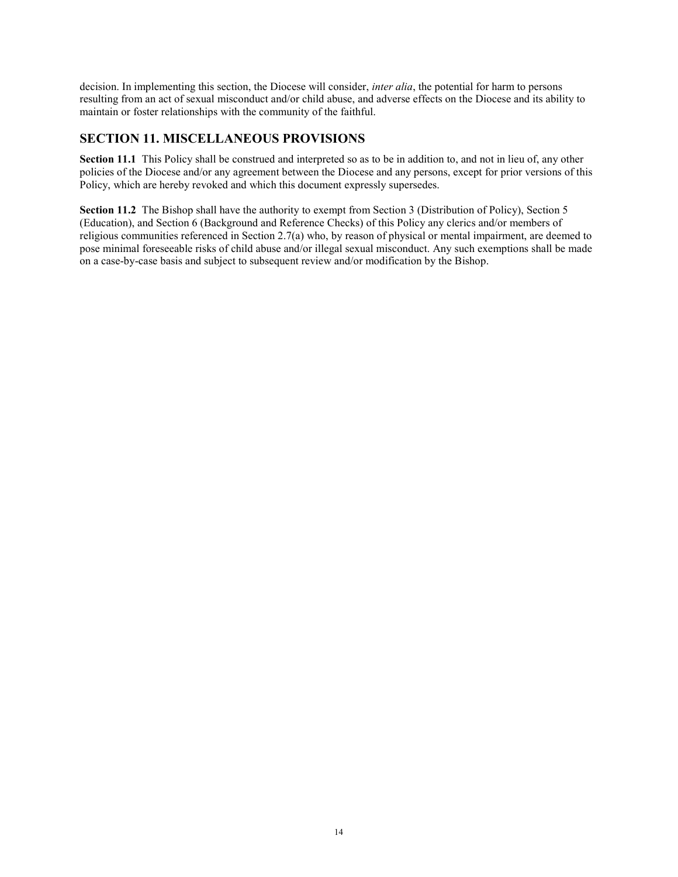decision. In implementing this section, the Diocese will consider, *inter alia*, the potential for harm to persons resulting from an act of sexual misconduct and/or child abuse, and adverse effects on the Diocese and its ability to maintain or foster relationships with the community of the faithful.

## SECTION 11. MISCELLANEOUS PROVISIONS

Section 11.1 This Policy shall be construed and interpreted so as to be in addition to, and not in lieu of, any other policies of the Diocese and/or any agreement between the Diocese and any persons, except for prior versions of this Policy, which are hereby revoked and which this document expressly supersedes.

Section 11.2 The Bishop shall have the authority to exempt from Section 3 (Distribution of Policy), Section 5 (Education), and Section 6 (Background and Reference Checks) of this Policy any clerics and/or members of religious communities referenced in Section 2.7(a) who, by reason of physical or mental impairment, are deemed to pose minimal foreseeable risks of child abuse and/or illegal sexual misconduct. Any such exemptions shall be made on a case-by-case basis and subject to subsequent review and/or modification by the Bishop.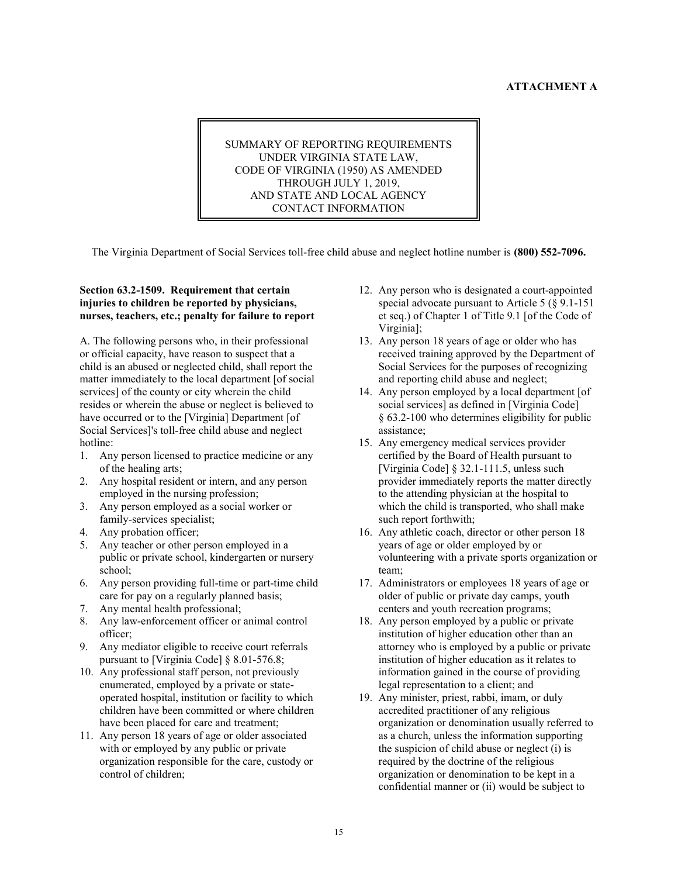#### ATTACHMENT A

SUMMARY OF REPORTING REQUIREMENTS UNDER VIRGINIA STATE LAW, CODE OF VIRGINIA (1950) AS AMENDED THROUGH JULY 1, 2019, AND STATE AND LOCAL AGENCY CONTACT INFORMATION

The Virginia Department of Social Services toll-free child abuse and neglect hotline number is (800) 552-7096.

#### Section 63.2-1509. Requirement that certain injuries to children be reported by physicians, nurses, teachers, etc.; penalty for failure to report

A. The following persons who, in their professional or official capacity, have reason to suspect that a child is an abused or neglected child, shall report the matter immediately to the local department [of social services] of the county or city wherein the child resides or wherein the abuse or neglect is believed to have occurred or to the [Virginia] Department [of Social Services]'s toll-free child abuse and neglect hotline:

- 1. Any person licensed to practice medicine or any of the healing arts;
- 2. Any hospital resident or intern, and any person employed in the nursing profession;
- 3. Any person employed as a social worker or family-services specialist;
- 4. Any probation officer;
- 5. Any teacher or other person employed in a public or private school, kindergarten or nursery school;
- 6. Any person providing full-time or part-time child care for pay on a regularly planned basis;
- 7. Any mental health professional;
- 8. Any law-enforcement officer or animal control officer;
- 9. Any mediator eligible to receive court referrals pursuant to [Virginia Code] § 8.01-576.8;
- 10. Any professional staff person, not previously enumerated, employed by a private or stateoperated hospital, institution or facility to which children have been committed or where children have been placed for care and treatment;
- 11. Any person 18 years of age or older associated with or employed by any public or private organization responsible for the care, custody or control of children;
- 12. Any person who is designated a court-appointed special advocate pursuant to Article 5 (§ 9.1-151 et seq.) of Chapter 1 of Title 9.1 [of the Code of Virginia];
- 13. Any person 18 years of age or older who has received training approved by the Department of Social Services for the purposes of recognizing and reporting child abuse and neglect;
- 14. Any person employed by a local department [of social services] as defined in [Virginia Code] § 63.2-100 who determines eligibility for public assistance;
- 15. Any emergency medical services provider certified by the Board of Health pursuant to [Virginia Code] § 32.1-111.5, unless such provider immediately reports the matter directly to the attending physician at the hospital to which the child is transported, who shall make such report forthwith;
- 16. Any athletic coach, director or other person 18 years of age or older employed by or volunteering with a private sports organization or team;
- 17. Administrators or employees 18 years of age or older of public or private day camps, youth centers and youth recreation programs;
- 18. Any person employed by a public or private institution of higher education other than an attorney who is employed by a public or private institution of higher education as it relates to information gained in the course of providing legal representation to a client; and
- 19. Any minister, priest, rabbi, imam, or duly accredited practitioner of any religious organization or denomination usually referred to as a church, unless the information supporting the suspicion of child abuse or neglect (i) is required by the doctrine of the religious organization or denomination to be kept in a confidential manner or (ii) would be subject to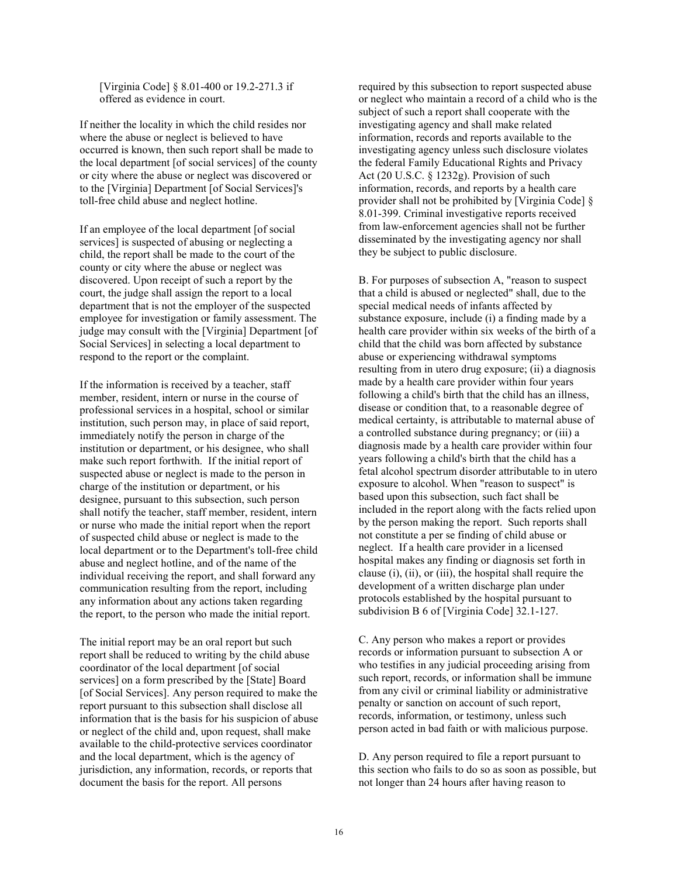[Virginia Code] § 8.01-400 or 19.2-271.3 if offered as evidence in court.

If neither the locality in which the child resides nor where the abuse or neglect is believed to have occurred is known, then such report shall be made to the local department [of social services] of the county or city where the abuse or neglect was discovered or to the [Virginia] Department [of Social Services]'s toll-free child abuse and neglect hotline.

If an employee of the local department [of social services] is suspected of abusing or neglecting a child, the report shall be made to the court of the county or city where the abuse or neglect was discovered. Upon receipt of such a report by the court, the judge shall assign the report to a local department that is not the employer of the suspected employee for investigation or family assessment. The judge may consult with the [Virginia] Department [of Social Services] in selecting a local department to respond to the report or the complaint.

If the information is received by a teacher, staff member, resident, intern or nurse in the course of professional services in a hospital, school or similar institution, such person may, in place of said report, immediately notify the person in charge of the institution or department, or his designee, who shall make such report forthwith. If the initial report of suspected abuse or neglect is made to the person in charge of the institution or department, or his designee, pursuant to this subsection, such person shall notify the teacher, staff member, resident, intern or nurse who made the initial report when the report of suspected child abuse or neglect is made to the local department or to the Department's toll-free child abuse and neglect hotline, and of the name of the individual receiving the report, and shall forward any communication resulting from the report, including any information about any actions taken regarding the report, to the person who made the initial report.

The initial report may be an oral report but such report shall be reduced to writing by the child abuse coordinator of the local department [of social services] on a form prescribed by the [State] Board [of Social Services]. Any person required to make the report pursuant to this subsection shall disclose all information that is the basis for his suspicion of abuse or neglect of the child and, upon request, shall make available to the child-protective services coordinator and the local department, which is the agency of jurisdiction, any information, records, or reports that document the basis for the report. All persons

required by this subsection to report suspected abuse or neglect who maintain a record of a child who is the subject of such a report shall cooperate with the investigating agency and shall make related information, records and reports available to the investigating agency unless such disclosure violates the federal Family Educational Rights and Privacy Act (20 U.S.C. § 1232g). Provision of such information, records, and reports by a health care provider shall not be prohibited by [Virginia Code] § 8.01-399. Criminal investigative reports received from law-enforcement agencies shall not be further disseminated by the investigating agency nor shall they be subject to public disclosure.

B. For purposes of subsection A, "reason to suspect that a child is abused or neglected" shall, due to the special medical needs of infants affected by substance exposure, include (i) a finding made by a health care provider within six weeks of the birth of a child that the child was born affected by substance abuse or experiencing withdrawal symptoms resulting from in utero drug exposure; (ii) a diagnosis made by a health care provider within four years following a child's birth that the child has an illness, disease or condition that, to a reasonable degree of medical certainty, is attributable to maternal abuse of a controlled substance during pregnancy; or (iii) a diagnosis made by a health care provider within four years following a child's birth that the child has a fetal alcohol spectrum disorder attributable to in utero exposure to alcohol. When "reason to suspect" is based upon this subsection, such fact shall be included in the report along with the facts relied upon by the person making the report. Such reports shall not constitute a per se finding of child abuse or neglect. If a health care provider in a licensed hospital makes any finding or diagnosis set forth in clause (i), (ii), or (iii), the hospital shall require the development of a written discharge plan under protocols established by the hospital pursuant to subdivision B 6 of [Virginia Code] 32.1-127.

C. Any person who makes a report or provides records or information pursuant to subsection A or who testifies in any judicial proceeding arising from such report, records, or information shall be immune from any civil or criminal liability or administrative penalty or sanction on account of such report, records, information, or testimony, unless such person acted in bad faith or with malicious purpose.

D. Any person required to file a report pursuant to this section who fails to do so as soon as possible, but not longer than 24 hours after having reason to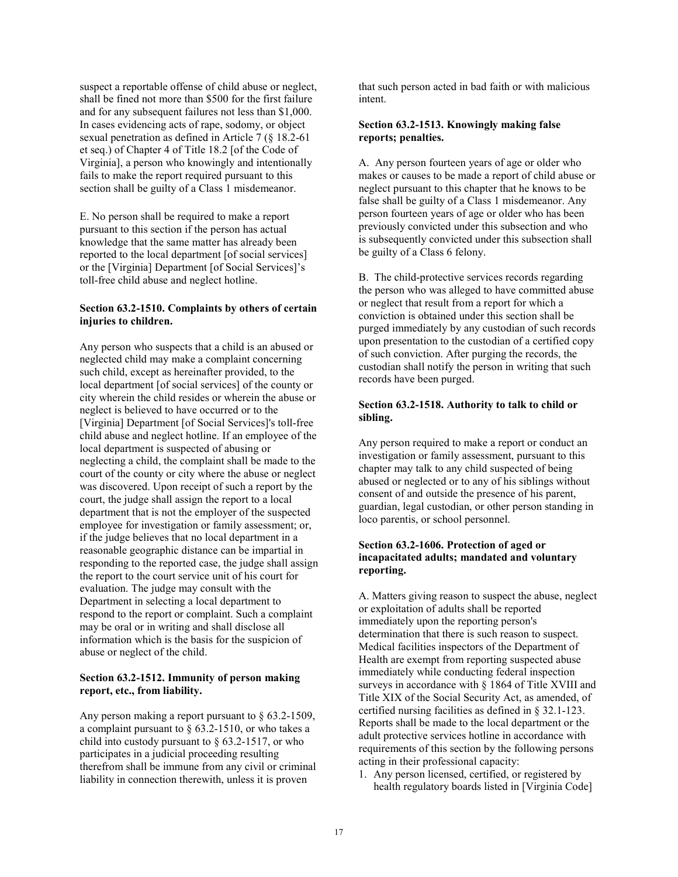suspect a reportable offense of child abuse or neglect, shall be fined not more than \$500 for the first failure and for any subsequent failures not less than \$1,000. In cases evidencing acts of rape, sodomy, or object sexual penetration as defined in Article 7 (§ 18.2-61 et seq.) of Chapter 4 of Title 18.2 [of the Code of Virginia], a person who knowingly and intentionally fails to make the report required pursuant to this section shall be guilty of a Class 1 misdemeanor.

E. No person shall be required to make a report pursuant to this section if the person has actual knowledge that the same matter has already been reported to the local department [of social services] or the [Virginia] Department [of Social Services]'s toll-free child abuse and neglect hotline.

#### Section 63.2-1510. Complaints by others of certain injuries to children.

Any person who suspects that a child is an abused or neglected child may make a complaint concerning such child, except as hereinafter provided, to the local department [of social services] of the county or city wherein the child resides or wherein the abuse or neglect is believed to have occurred or to the [Virginia] Department [of Social Services]'s toll-free child abuse and neglect hotline. If an employee of the local department is suspected of abusing or neglecting a child, the complaint shall be made to the court of the county or city where the abuse or neglect was discovered. Upon receipt of such a report by the court, the judge shall assign the report to a local department that is not the employer of the suspected employee for investigation or family assessment; or, if the judge believes that no local department in a reasonable geographic distance can be impartial in responding to the reported case, the judge shall assign the report to the court service unit of his court for evaluation. The judge may consult with the Department in selecting a local department to respond to the report or complaint. Such a complaint may be oral or in writing and shall disclose all information which is the basis for the suspicion of abuse or neglect of the child.

#### Section 63.2-1512. Immunity of person making report, etc., from liability.

Any person making a report pursuant to § 63.2-1509, a complaint pursuant to  $\S$  63.2-1510, or who takes a child into custody pursuant to  $\S$  63.2-1517, or who participates in a judicial proceeding resulting therefrom shall be immune from any civil or criminal liability in connection therewith, unless it is proven

that such person acted in bad faith or with malicious intent.

#### Section 63.2-1513. Knowingly making false reports; penalties.

A. Any person fourteen years of age or older who makes or causes to be made a report of child abuse or neglect pursuant to this chapter that he knows to be false shall be guilty of a Class 1 misdemeanor. Any person fourteen years of age or older who has been previously convicted under this subsection and who is subsequently convicted under this subsection shall be guilty of a Class 6 felony.

B. The child-protective services records regarding the person who was alleged to have committed abuse or neglect that result from a report for which a conviction is obtained under this section shall be purged immediately by any custodian of such records upon presentation to the custodian of a certified copy of such conviction. After purging the records, the custodian shall notify the person in writing that such records have been purged.

#### Section 63.2-1518. Authority to talk to child or sibling.

Any person required to make a report or conduct an investigation or family assessment, pursuant to this chapter may talk to any child suspected of being abused or neglected or to any of his siblings without consent of and outside the presence of his parent, guardian, legal custodian, or other person standing in loco parentis, or school personnel.

#### Section 63.2-1606. Protection of aged or incapacitated adults; mandated and voluntary reporting.

A. Matters giving reason to suspect the abuse, neglect or exploitation of adults shall be reported immediately upon the reporting person's determination that there is such reason to suspect. Medical facilities inspectors of the Department of Health are exempt from reporting suspected abuse immediately while conducting federal inspection surveys in accordance with § 1864 of Title XVIII and Title XIX of the Social Security Act, as amended, of certified nursing facilities as defined in § 32.1-123. Reports shall be made to the local department or the adult protective services hotline in accordance with requirements of this section by the following persons acting in their professional capacity:

1. Any person licensed, certified, or registered by health regulatory boards listed in [Virginia Code]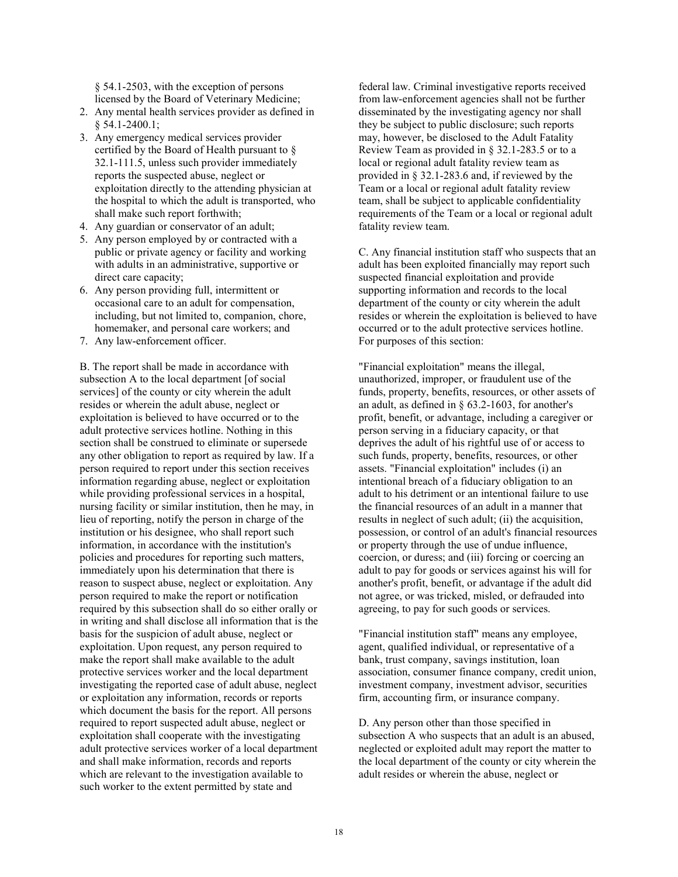§ 54.1-2503, with the exception of persons licensed by the Board of Veterinary Medicine;

- 2. Any mental health services provider as defined in § 54.1-2400.1;
- 3. Any emergency medical services provider certified by the Board of Health pursuant to § 32.1-111.5, unless such provider immediately reports the suspected abuse, neglect or exploitation directly to the attending physician at the hospital to which the adult is transported, who shall make such report forthwith;
- 4. Any guardian or conservator of an adult;
- 5. Any person employed by or contracted with a public or private agency or facility and working with adults in an administrative, supportive or direct care capacity;
- 6. Any person providing full, intermittent or occasional care to an adult for compensation, including, but not limited to, companion, chore, homemaker, and personal care workers; and
- 7. Any law-enforcement officer.

B. The report shall be made in accordance with subsection A to the local department [of social services] of the county or city wherein the adult resides or wherein the adult abuse, neglect or exploitation is believed to have occurred or to the adult protective services hotline. Nothing in this section shall be construed to eliminate or supersede any other obligation to report as required by law. If a person required to report under this section receives information regarding abuse, neglect or exploitation while providing professional services in a hospital, nursing facility or similar institution, then he may, in lieu of reporting, notify the person in charge of the institution or his designee, who shall report such information, in accordance with the institution's policies and procedures for reporting such matters, immediately upon his determination that there is reason to suspect abuse, neglect or exploitation. Any person required to make the report or notification required by this subsection shall do so either orally or in writing and shall disclose all information that is the basis for the suspicion of adult abuse, neglect or exploitation. Upon request, any person required to make the report shall make available to the adult protective services worker and the local department investigating the reported case of adult abuse, neglect or exploitation any information, records or reports which document the basis for the report. All persons required to report suspected adult abuse, neglect or exploitation shall cooperate with the investigating adult protective services worker of a local department and shall make information, records and reports which are relevant to the investigation available to such worker to the extent permitted by state and

federal law. Criminal investigative reports received from law-enforcement agencies shall not be further disseminated by the investigating agency nor shall they be subject to public disclosure; such reports may, however, be disclosed to the Adult Fatality Review Team as provided in § 32.1-283.5 or to a local or regional adult fatality review team as provided in § 32.1-283.6 and, if reviewed by the Team or a local or regional adult fatality review team, shall be subject to applicable confidentiality requirements of the Team or a local or regional adult fatality review team.

C. Any financial institution staff who suspects that an adult has been exploited financially may report such suspected financial exploitation and provide supporting information and records to the local department of the county or city wherein the adult resides or wherein the exploitation is believed to have occurred or to the adult protective services hotline. For purposes of this section:

"Financial exploitation" means the illegal, unauthorized, improper, or fraudulent use of the funds, property, benefits, resources, or other assets of an adult, as defined in § 63.2-1603, for another's profit, benefit, or advantage, including a caregiver or person serving in a fiduciary capacity, or that deprives the adult of his rightful use of or access to such funds, property, benefits, resources, or other assets. "Financial exploitation" includes (i) an intentional breach of a fiduciary obligation to an adult to his detriment or an intentional failure to use the financial resources of an adult in a manner that results in neglect of such adult; (ii) the acquisition, possession, or control of an adult's financial resources or property through the use of undue influence, coercion, or duress; and (iii) forcing or coercing an adult to pay for goods or services against his will for another's profit, benefit, or advantage if the adult did not agree, or was tricked, misled, or defrauded into agreeing, to pay for such goods or services.

"Financial institution staff" means any employee, agent, qualified individual, or representative of a bank, trust company, savings institution, loan association, consumer finance company, credit union, investment company, investment advisor, securities firm, accounting firm, or insurance company.

D. Any person other than those specified in subsection A who suspects that an adult is an abused, neglected or exploited adult may report the matter to the local department of the county or city wherein the adult resides or wherein the abuse, neglect or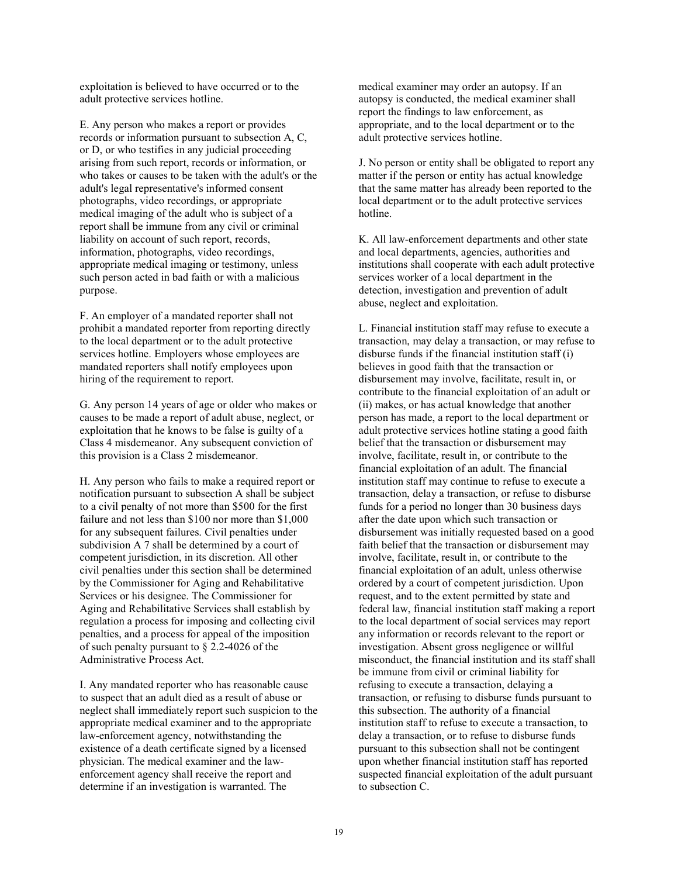exploitation is believed to have occurred or to the adult protective services hotline.

E. Any person who makes a report or provides records or information pursuant to subsection A, C, or D, or who testifies in any judicial proceeding arising from such report, records or information, or who takes or causes to be taken with the adult's or the adult's legal representative's informed consent photographs, video recordings, or appropriate medical imaging of the adult who is subject of a report shall be immune from any civil or criminal liability on account of such report, records, information, photographs, video recordings, appropriate medical imaging or testimony, unless such person acted in bad faith or with a malicious purpose.

F. An employer of a mandated reporter shall not prohibit a mandated reporter from reporting directly to the local department or to the adult protective services hotline. Employers whose employees are mandated reporters shall notify employees upon hiring of the requirement to report.

G. Any person 14 years of age or older who makes or causes to be made a report of adult abuse, neglect, or exploitation that he knows to be false is guilty of a Class 4 misdemeanor. Any subsequent conviction of this provision is a Class 2 misdemeanor.

H. Any person who fails to make a required report or notification pursuant to subsection A shall be subject to a civil penalty of not more than \$500 for the first failure and not less than \$100 nor more than \$1,000 for any subsequent failures. Civil penalties under subdivision A 7 shall be determined by a court of competent jurisdiction, in its discretion. All other civil penalties under this section shall be determined by the Commissioner for Aging and Rehabilitative Services or his designee. The Commissioner for Aging and Rehabilitative Services shall establish by regulation a process for imposing and collecting civil penalties, and a process for appeal of the imposition of such penalty pursuant to § 2.2-4026 of the Administrative Process Act.

I. Any mandated reporter who has reasonable cause to suspect that an adult died as a result of abuse or neglect shall immediately report such suspicion to the appropriate medical examiner and to the appropriate law-enforcement agency, notwithstanding the existence of a death certificate signed by a licensed physician. The medical examiner and the lawenforcement agency shall receive the report and determine if an investigation is warranted. The

medical examiner may order an autopsy. If an autopsy is conducted, the medical examiner shall report the findings to law enforcement, as appropriate, and to the local department or to the adult protective services hotline.

J. No person or entity shall be obligated to report any matter if the person or entity has actual knowledge that the same matter has already been reported to the local department or to the adult protective services hotline.

K. All law-enforcement departments and other state and local departments, agencies, authorities and institutions shall cooperate with each adult protective services worker of a local department in the detection, investigation and prevention of adult abuse, neglect and exploitation.

L. Financial institution staff may refuse to execute a transaction, may delay a transaction, or may refuse to disburse funds if the financial institution staff (i) believes in good faith that the transaction or disbursement may involve, facilitate, result in, or contribute to the financial exploitation of an adult or (ii) makes, or has actual knowledge that another person has made, a report to the local department or adult protective services hotline stating a good faith belief that the transaction or disbursement may involve, facilitate, result in, or contribute to the financial exploitation of an adult. The financial institution staff may continue to refuse to execute a transaction, delay a transaction, or refuse to disburse funds for a period no longer than 30 business days after the date upon which such transaction or disbursement was initially requested based on a good faith belief that the transaction or disbursement may involve, facilitate, result in, or contribute to the financial exploitation of an adult, unless otherwise ordered by a court of competent jurisdiction. Upon request, and to the extent permitted by state and federal law, financial institution staff making a report to the local department of social services may report any information or records relevant to the report or investigation. Absent gross negligence or willful misconduct, the financial institution and its staff shall be immune from civil or criminal liability for refusing to execute a transaction, delaying a transaction, or refusing to disburse funds pursuant to this subsection. The authority of a financial institution staff to refuse to execute a transaction, to delay a transaction, or to refuse to disburse funds pursuant to this subsection shall not be contingent upon whether financial institution staff has reported suspected financial exploitation of the adult pursuant to subsection C.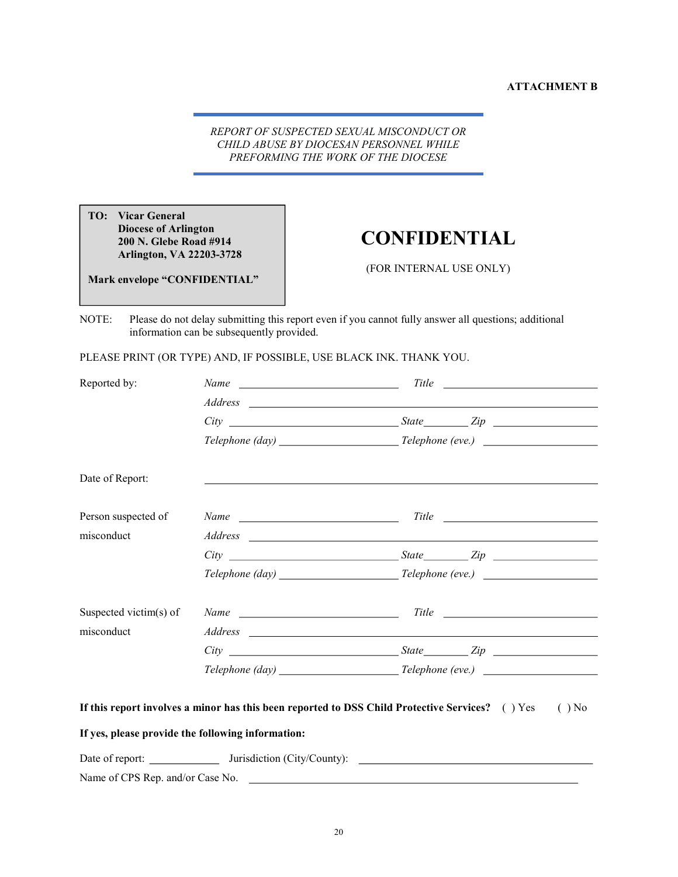REPORT OF SUSPECTED SEXUAL MISCONDUCT OR CHILD ABUSE BY DIOCESAN PERSONNEL WHILE PREFORMING THE WORK OF THE DIOCESE

TO: Vicar General Diocese of Arlington 200 N. Glebe Road #914 Arlington, VA 22203-3728

Mark envelope "CONFIDENTIAL"

# CONFIDENTIAL

(FOR INTERNAL USE ONLY)

NOTE: Please do not delay submitting this report even if you cannot fully answer all questions; additional information can be subsequently provided.

PLEASE PRINT (OR TYPE) AND, IF POSSIBLE, USE BLACK INK. THANK YOU.

| Reported by:           |                                                                                                 |             |
|------------------------|-------------------------------------------------------------------------------------------------|-------------|
|                        |                                                                                                 |             |
|                        |                                                                                                 |             |
|                        |                                                                                                 |             |
| Date of Report:        |                                                                                                 |             |
| Person suspected of    |                                                                                                 |             |
| misconduct             |                                                                                                 |             |
|                        |                                                                                                 | $City$ $\_$ |
|                        |                                                                                                 |             |
| Suspected victim(s) of |                                                                                                 | Name Title  |
| misconduct             |                                                                                                 |             |
|                        |                                                                                                 |             |
|                        |                                                                                                 |             |
|                        | If this report involves a minor has this been reported to DSS Child Protective Services? () Yes | $( )$ No    |
|                        | If yes, please provide the following information:                                               |             |
|                        |                                                                                                 |             |

Name of CPS Rep. and/or Case No.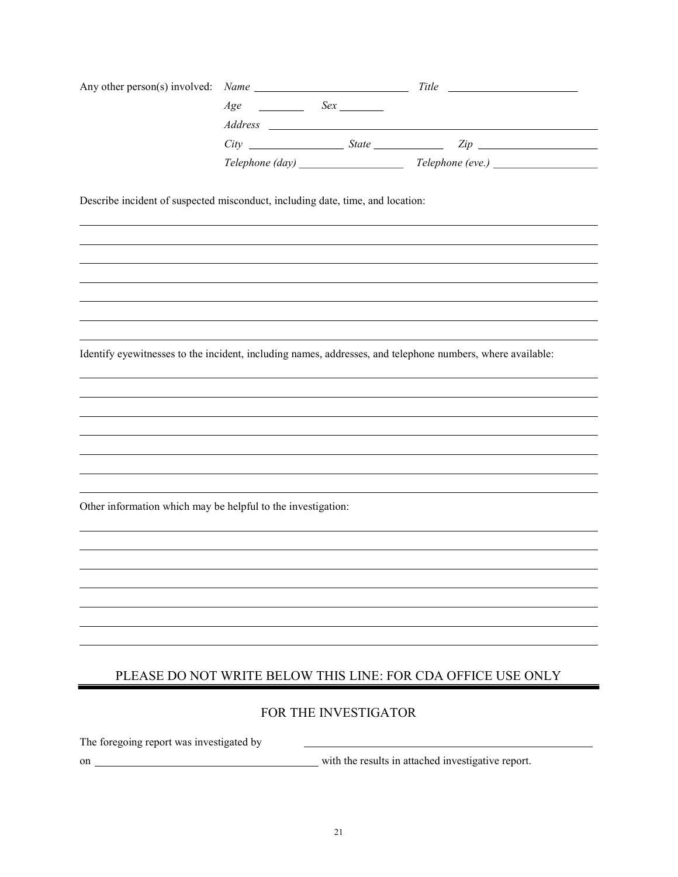|                                                                                                            |  |  | $City$ $2ip$                                                 |  |  |  |
|------------------------------------------------------------------------------------------------------------|--|--|--------------------------------------------------------------|--|--|--|
|                                                                                                            |  |  |                                                              |  |  |  |
| Describe incident of suspected misconduct, including date, time, and location:                             |  |  |                                                              |  |  |  |
|                                                                                                            |  |  |                                                              |  |  |  |
|                                                                                                            |  |  |                                                              |  |  |  |
| Identify eyewitnesses to the incident, including names, addresses, and telephone numbers, where available: |  |  |                                                              |  |  |  |
|                                                                                                            |  |  |                                                              |  |  |  |
|                                                                                                            |  |  |                                                              |  |  |  |
|                                                                                                            |  |  |                                                              |  |  |  |
|                                                                                                            |  |  |                                                              |  |  |  |
|                                                                                                            |  |  |                                                              |  |  |  |
| Other information which may be helpful to the investigation:                                               |  |  |                                                              |  |  |  |
|                                                                                                            |  |  |                                                              |  |  |  |
|                                                                                                            |  |  |                                                              |  |  |  |
|                                                                                                            |  |  |                                                              |  |  |  |
|                                                                                                            |  |  |                                                              |  |  |  |
|                                                                                                            |  |  |                                                              |  |  |  |
|                                                                                                            |  |  | PLEASE DO NOT WRITE BELOW THIS LINE: FOR CDA OFFICE USE ONLY |  |  |  |
| FOR THE INVESTIGATOR                                                                                       |  |  |                                                              |  |  |  |

The foregoing report was investigated by

on with the results in attached investigative report.

 $\overline{a}$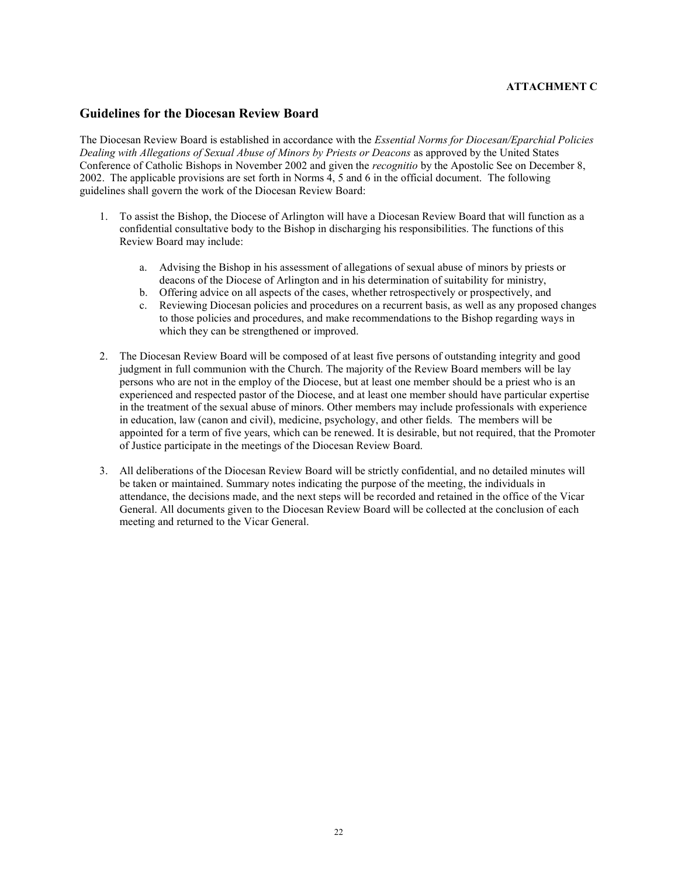### ATTACHMENT C

#### Guidelines for the Diocesan Review Board

The Diocesan Review Board is established in accordance with the Essential Norms for Diocesan/Eparchial Policies Dealing with Allegations of Sexual Abuse of Minors by Priests or Deacons as approved by the United States Conference of Catholic Bishops in November 2002 and given the recognitio by the Apostolic See on December 8, 2002. The applicable provisions are set forth in Norms 4, 5 and 6 in the official document. The following guidelines shall govern the work of the Diocesan Review Board:

- 1. To assist the Bishop, the Diocese of Arlington will have a Diocesan Review Board that will function as a confidential consultative body to the Bishop in discharging his responsibilities. The functions of this Review Board may include:
	- a. Advising the Bishop in his assessment of allegations of sexual abuse of minors by priests or deacons of the Diocese of Arlington and in his determination of suitability for ministry,
	- b. Offering advice on all aspects of the cases, whether retrospectively or prospectively, and
	- c. Reviewing Diocesan policies and procedures on a recurrent basis, as well as any proposed changes to those policies and procedures, and make recommendations to the Bishop regarding ways in which they can be strengthened or improved.
- 2. The Diocesan Review Board will be composed of at least five persons of outstanding integrity and good judgment in full communion with the Church. The majority of the Review Board members will be lay persons who are not in the employ of the Diocese, but at least one member should be a priest who is an experienced and respected pastor of the Diocese, and at least one member should have particular expertise in the treatment of the sexual abuse of minors. Other members may include professionals with experience in education, law (canon and civil), medicine, psychology, and other fields. The members will be appointed for a term of five years, which can be renewed. It is desirable, but not required, that the Promoter of Justice participate in the meetings of the Diocesan Review Board.
- 3. All deliberations of the Diocesan Review Board will be strictly confidential, and no detailed minutes will be taken or maintained. Summary notes indicating the purpose of the meeting, the individuals in attendance, the decisions made, and the next steps will be recorded and retained in the office of the Vicar General. All documents given to the Diocesan Review Board will be collected at the conclusion of each meeting and returned to the Vicar General.